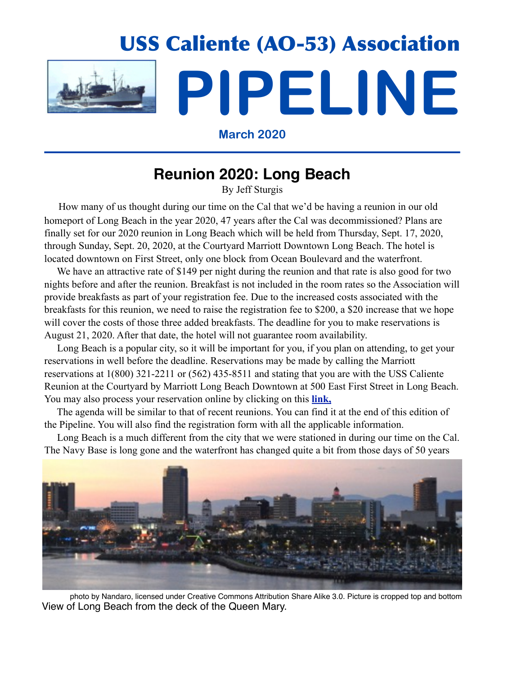

**March 2020**

# **Reunion 2020: Long Beach**

By Jeff Sturgis

 How many of us thought during our time on the Cal that we'd be having a reunion in our old homeport of Long Beach in the year 2020, 47 years after the Cal was decommissioned? Plans are finally set for our 2020 reunion in Long Beach which will be held from Thursday, Sept. 17, 2020, through Sunday, Sept. 20, 2020, at the Courtyard Marriott Downtown Long Beach. The hotel is located downtown on First Street, only one block from Ocean Boulevard and the waterfront.

We have an attractive rate of \$149 per night during the reunion and that rate is also good for two nights before and after the reunion. Breakfast is not included in the room rates so the Association will provide breakfasts as part of your registration fee. Due to the increased costs associated with the breakfasts for this reunion, we need to raise the registration fee to \$200, a \$20 increase that we hope will cover the costs of those three added breakfasts. The deadline for you to make reservations is August 21, 2020. After that date, the hotel will not guarantee room availability.

 Long Beach is a popular city, so it will be important for you, if you plan on attending, to get your reservations in well before the deadline. Reservations may be made by calling the Marriott reservations at 1(800) 321-2211 or (562) 435-8511 and stating that you are with the USS Caliente Reunion at the Courtyard by Marriott Long Beach Downtown at 500 East First Street in Long Beach. You may also process your reservation online by clicking on this **[link,](https://www.marriott.com/events/start.mi?id=1580239176791&key=GRP)**

 The agenda will be similar to that of recent reunions. You can find it at the end of this edition of the Pipeline. You will also find the registration form with all the applicable information.

 Long Beach is a much different from the city that we were stationed in during our time on the Cal. The Navy Base is long gone and the waterfront has changed quite a bit from those days of 50 years



photo by Nandaro, licensed under Creative Commons Attribution Share Alike 3.0. Picture is cropped top and bottom View of Long Beach from the deck of the Queen Mary.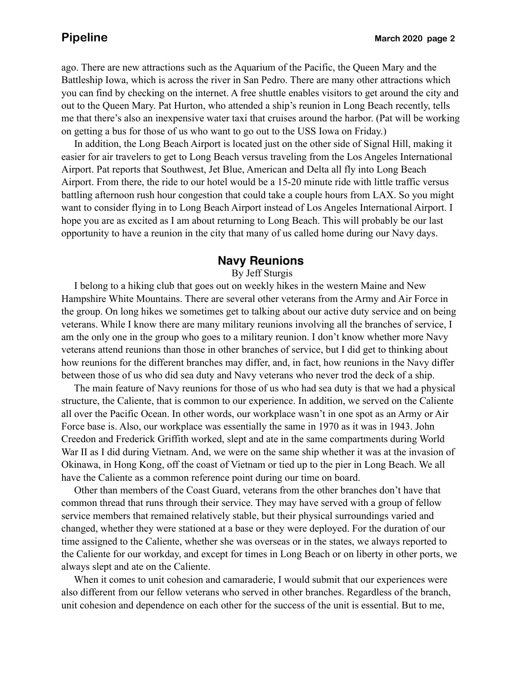ago. There are new attractions such as the Aquarium of the Pacific, the Queen Mary and the Battleship Iowa, which is across the river in San Pedro. There are many other attractions which you can find by checking on the internet. A free shuttle enables visitors to get around the city and out to the Queen Mary. Pat Hurton, who attended a ship's reunion in Long Beach recently, tells me that there's also an inexpensive water taxi that cruises around the harbor. (Pat will be working on getting a bus for those of us who want to go out to the USS Iowa on Friday.)

 In addition, the Long Beach Airport is located just on the other side of Signal Hill, making it easier for air travelers to get to Long Beach versus traveling from the Los Angeles International Airport. Pat reports that Southwest, Jet Blue, American and Delta all fly into Long Beach Airport. From there, the ride to our hotel would be a 15-20 minute ride with little traffic versus battling afternoon rush hour congestion that could take a couple hours from LAX. So you might want to consider flying in to Long Beach Airport instead of Los Angeles International Airport. I hope you are as excited as I am about returning to Long Beach. This will probably be our last opportunity to have a reunion in the city that many of us called home during our Navy days.

### **Navy Reunions**

By Jeff Sturgis

 I belong to a hiking club that goes out on weekly hikes in the western Maine and New Hampshire White Mountains. There are several other veterans from the Army and Air Force in the group. On long hikes we sometimes get to talking about our active duty service and on being veterans. While I know there are many military reunions involving all the branches of service, I am the only one in the group who goes to a military reunion. I don't know whether more Navy veterans attend reunions than those in other branches of service, but I did get to thinking about how reunions for the different branches may differ, and, in fact, how reunions in the Navy differ between those of us who did sea duty and Navy veterans who never trod the deck of a ship.

 The main feature of Navy reunions for those of us who had sea duty is that we had a physical structure, the Caliente, that is common to our experience. In addition, we served on the Caliente all over the Pacific Ocean. In other words, our workplace wasn't in one spot as an Army or Air Force base is. Also, our workplace was essentially the same in 1970 as it was in 1943. John Creedon and Frederick Griffith worked, slept and ate in the same compartments during World War II as I did during Vietnam. And, we were on the same ship whether it was at the invasion of Okinawa, in Hong Kong, off the coast of Vietnam or tied up to the pier in Long Beach. We all have the Caliente as a common reference point during our time on board.

 Other than members of the Coast Guard, veterans from the other branches don't have that common thread that runs through their service. They may have served with a group of fellow service members that remained relatively stable, but their physical surroundings varied and changed, whether they were stationed at a base or they were deployed. For the duration of our time assigned to the Caliente, whether she was overseas or in the states, we always reported to the Caliente for our workday, and except for times in Long Beach or on liberty in other ports, we always slept and ate on the Caliente.

 When it comes to unit cohesion and camaraderie, I would submit that our experiences were also different from our fellow veterans who served in other branches. Regardless of the branch, unit cohesion and dependence on each other for the success of the unit is essential. But to me,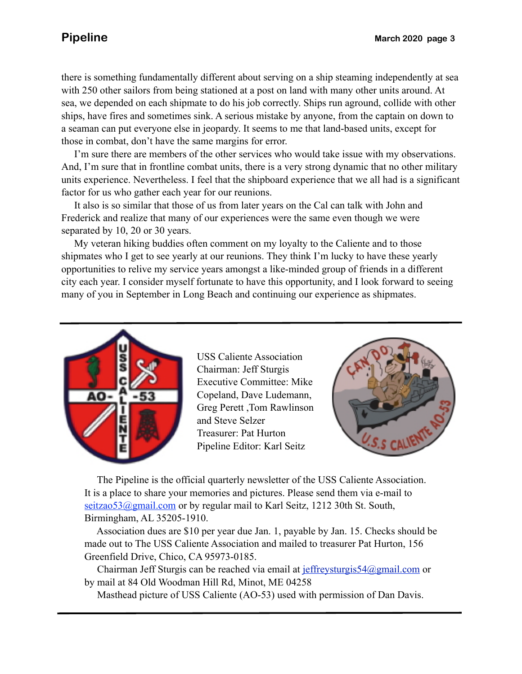there is something fundamentally different about serving on a ship steaming independently at sea with 250 other sailors from being stationed at a post on land with many other units around. At sea, we depended on each shipmate to do his job correctly. Ships run aground, collide with other ships, have fires and sometimes sink. A serious mistake by anyone, from the captain on down to a seaman can put everyone else in jeopardy. It seems to me that land-based units, except for those in combat, don't have the same margins for error.

 I'm sure there are members of the other services who would take issue with my observations. And, I'm sure that in frontline combat units, there is a very strong dynamic that no other military units experience. Nevertheless. I feel that the shipboard experience that we all had is a significant factor for us who gather each year for our reunions.

 It also is so similar that those of us from later years on the Cal can talk with John and Frederick and realize that many of our experiences were the same even though we were separated by 10, 20 or 30 years.

 My veteran hiking buddies often comment on my loyalty to the Caliente and to those shipmates who I get to see yearly at our reunions. They think I'm lucky to have these yearly opportunities to relive my service years amongst a like-minded group of friends in a different city each year. I consider myself fortunate to have this opportunity, and I look forward to seeing many of you in September in Long Beach and continuing our experience as shipmates.



USS Caliente Association Chairman: Jeff Sturgis Executive Committee: Mike Copeland, Dave Ludemann, Greg Perett ,Tom Rawlinson and Steve Selzer Treasurer: Pat Hurton Pipeline Editor: Karl Seitz



 The Pipeline is the official quarterly newsletter of the USS Caliente Association. It is a place to share your memories and pictures. Please send them via e-mail to seitzao53@gmail.com or by regular mail to Karl Seitz, 1212 30th St. South, Birmingham, AL 35205-1910.

 Association dues are \$10 per year due Jan. 1, payable by Jan. 15. Checks should be made out to The USS Caliente Association and mailed to treasurer Pat Hurton, 156 Greenfield Drive, Chico, CA 95973-0185.

 Chairman Jeff Sturgis can be reached via email at [jeffreysturgis54@gmail.com](mailto:jeffreysturgis54@gmail.com) or by mail at 84 Old Woodman Hill Rd, Minot, ME 04258

Masthead picture of USS Caliente (AO-53) used with permission of Dan Davis.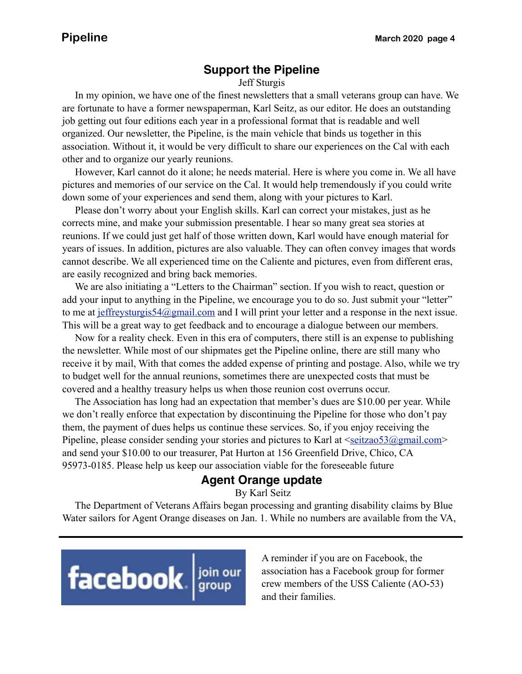### **Support the Pipeline**

#### Jeff Sturgis

 In my opinion, we have one of the finest newsletters that a small veterans group can have. We are fortunate to have a former newspaperman, Karl Seitz, as our editor. He does an outstanding job getting out four editions each year in a professional format that is readable and well organized. Our newsletter, the Pipeline, is the main vehicle that binds us together in this association. Without it, it would be very difficult to share our experiences on the Cal with each other and to organize our yearly reunions.

 However, Karl cannot do it alone; he needs material. Here is where you come in. We all have pictures and memories of our service on the Cal. It would help tremendously if you could write down some of your experiences and send them, along with your pictures to Karl.

 Please don't worry about your English skills. Karl can correct your mistakes, just as he corrects mine, and make your submission presentable. I hear so many great sea stories at reunions. If we could just get half of those written down, Karl would have enough material for years of issues. In addition, pictures are also valuable. They can often convey images that words cannot describe. We all experienced time on the Caliente and pictures, even from different eras, are easily recognized and bring back memories.

 We are also initiating a "Letters to the Chairman" section. If you wish to react, question or add your input to anything in the Pipeline, we encourage you to do so. Just submit your "letter" to me at [jeffreysturgis54@gmail.com](mailto:jeffreysturgis54@gmail.com) and I will print your letter and a response in the next issue. This will be a great way to get feedback and to encourage a dialogue between our members.

 Now for a reality check. Even in this era of computers, there still is an expense to publishing the newsletter. While most of our shipmates get the Pipeline online, there are still many who receive it by mail, With that comes the added expense of printing and postage. Also, while we try to budget well for the annual reunions, sometimes there are unexpected costs that must be covered and a healthy treasury helps us when those reunion cost overruns occur.

 The Association has long had an expectation that member's dues are \$10.00 per year. While we don't really enforce that expectation by discontinuing the Pipeline for those who don't pay them, the payment of dues helps us continue these services. So, if you enjoy receiving the Pipeline, please consider sending your stories and pictures to Karl at  $\leq$ seitzao53@gmail.com> and send your \$10.00 to our treasurer, Pat Hurton at 156 Greenfield Drive, Chico, CA 95973-0185. Please help us keep our association viable for the foreseeable future

### **Agent Orange update**

By Karl Seitz

 The Department of Veterans Affairs began processing and granting disability claims by Blue Water sailors for Agent Orange diseases on Jan. 1. While no numbers are available from the VA,



A reminder if you are on Facebook, the association has a Facebook group for former crew members of the USS Caliente (AO-53) and their families.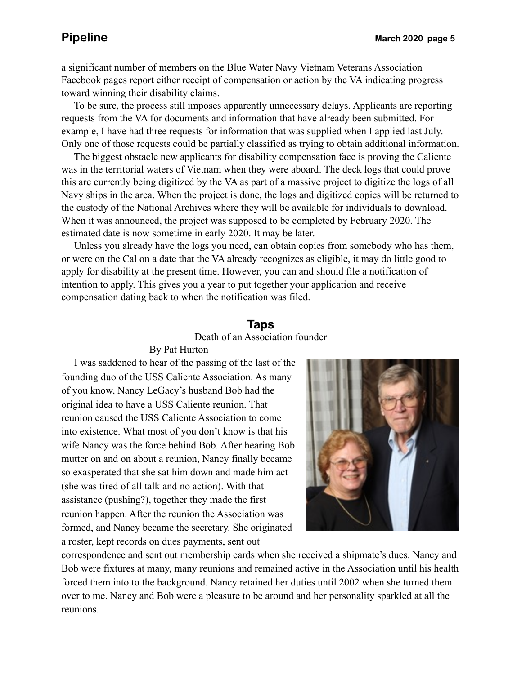a significant number of members on the Blue Water Navy Vietnam Veterans Association Facebook pages report either receipt of compensation or action by the VA indicating progress toward winning their disability claims.

 To be sure, the process still imposes apparently unnecessary delays. Applicants are reporting requests from the VA for documents and information that have already been submitted. For example, I have had three requests for information that was supplied when I applied last July. Only one of those requests could be partially classified as trying to obtain additional information.

 The biggest obstacle new applicants for disability compensation face is proving the Caliente was in the territorial waters of Vietnam when they were aboard. The deck logs that could prove this are currently being digitized by the VA as part of a massive project to digitize the logs of all Navy ships in the area. When the project is done, the logs and digitized copies will be returned to the custody of the National Archives where they will be available for individuals to download. When it was announced, the project was supposed to be completed by February 2020. The estimated date is now sometime in early 2020. It may be later.

 Unless you already have the logs you need, can obtain copies from somebody who has them, or were on the Cal on a date that the VA already recognizes as eligible, it may do little good to apply for disability at the present time. However, you can and should file a notification of intention to apply. This gives you a year to put together your application and receive compensation dating back to when the notification was filed.

#### **Taps**

Death of an Association founder

By Pat Hurton

 I was saddened to hear of the passing of the last of the founding duo of the USS Caliente Association. As many of you know, Nancy LeGacy's husband Bob had the original idea to have a USS Caliente reunion. That reunion caused the USS Caliente Association to come into existence. What most of you don't know is that his wife Nancy was the force behind Bob. After hearing Bob mutter on and on about a reunion, Nancy finally became so exasperated that she sat him down and made him act (she was tired of all talk and no action). With that assistance (pushing?), together they made the first reunion happen. After the reunion the Association was formed, and Nancy became the secretary. She originated a roster, kept records on dues payments, sent out



correspondence and sent out membership cards when she received a shipmate's dues. Nancy and Bob were fixtures at many, many reunions and remained active in the Association until his health forced them into to the background. Nancy retained her duties until 2002 when she turned them over to me. Nancy and Bob were a pleasure to be around and her personality sparkled at all the reunions.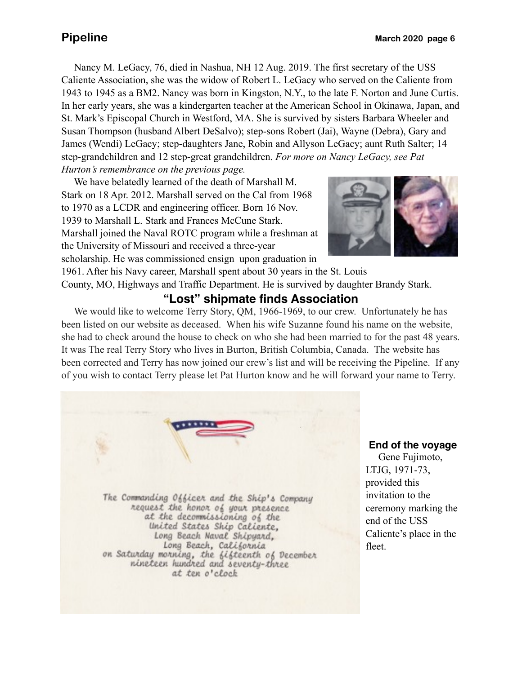Nancy M. LeGacy, 76, died in Nashua, NH 12 Aug. 2019. The first secretary of the USS Caliente Association, she was the widow of Robert L. LeGacy who served on the Caliente from 1943 to 1945 as a BM2. Nancy was born in Kingston, N.Y., to the late F. Norton and June Curtis. In her early years, she was a kindergarten teacher at the American School in Okinawa, Japan, and St. Mark's Episcopal Church in Westford, MA. She is survived by sisters Barbara Wheeler and Susan Thompson (husband Albert DeSalvo); step-sons Robert (Jai), Wayne (Debra), Gary and James (Wendi) LeGacy; step-daughters Jane, Robin and Allyson LeGacy; aunt Ruth Salter; 14 step-grandchildren and 12 step-great grandchildren. *For more on Nancy LeGacy, see Pat Hurton's remembrance on the previous page.*

 We have belatedly learned of the death of Marshall M. Stark on 18 Apr. 2012. Marshall served on the Cal from 1968 to 1970 as a LCDR and engineering officer. Born 16 Nov. 1939 to Marshall L. Stark and Frances McCune Stark. Marshall joined the Naval ROTC program while a freshman at the University of Missouri and received a three-year scholarship. He was commissioned ensign upon graduation in



1961. After his Navy career, Marshall spent about 30 years in the St. Louis County, MO, Highways and Traffic Department. He is survived by daughter Brandy Stark.

### **"Lost" shipmate finds Association**

 We would like to welcome Terry Story, QM, 1966-1969, to our crew. Unfortunately he has been listed on our website as deceased. When his wife Suzanne found his name on the website, she had to check around the house to check on who she had been married to for the past 48 years. It was The real Terry Story who lives in Burton, British Columbia, Canada. The website has been corrected and Terry has now joined our crew's list and will be receiving the Pipeline. If any of you wish to contact Terry please let Pat Hurton know and he will forward your name to Terry.



#### **End of the voyage**

 Gene Fujimoto, LTJG, 1971-73, provided this invitation to the ceremony marking the end of the USS Caliente's place in the fleet.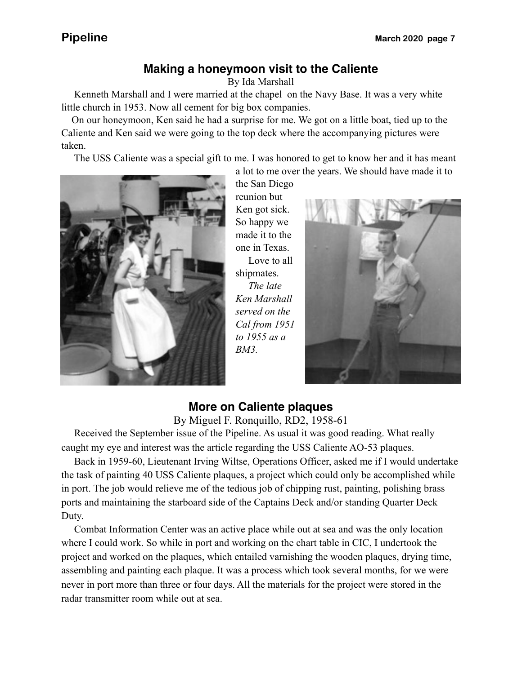## **Making a honeymoon visit to the Caliente**

By Ida Marshall

 Kenneth Marshall and I were married at the chapel on the Navy Base. It was a very white little church in 1953. Now all cement for big box companies.

 On our honeymoon, Ken said he had a surprise for me. We got on a little boat, tied up to the Caliente and Ken said we were going to the top deck where the accompanying pictures were taken.

The USS Caliente was a special gift to me. I was honored to get to know her and it has meant



the San Diego reunion but Ken got sick. So happy we made it to the one in Texas.

 Love to all shipmates. *The late Ken Marshall served on the Cal from 1951 to 1955 as a BM3.*



a lot to me over the years. We should have made it to

# **More on Caliente plaques**

By Miguel F. Ronquillo, RD2, 1958-61

 Received the September issue of the Pipeline. As usual it was good reading. What really caught my eye and interest was the article regarding the USS Caliente AO-53 plaques.

 Back in 1959-60, Lieutenant Irving Wiltse, Operations Officer, asked me if I would undertake the task of painting 40 USS Caliente plaques, a project which could only be accomplished while in port. The job would relieve me of the tedious job of chipping rust, painting, polishing brass ports and maintaining the starboard side of the Captains Deck and/or standing Quarter Deck Duty.

 Combat Information Center was an active place while out at sea and was the only location where I could work. So while in port and working on the chart table in CIC, I undertook the project and worked on the plaques, which entailed varnishing the wooden plaques, drying time, assembling and painting each plaque. It was a process which took several months, for we were never in port more than three or four days. All the materials for the project were stored in the radar transmitter room while out at sea.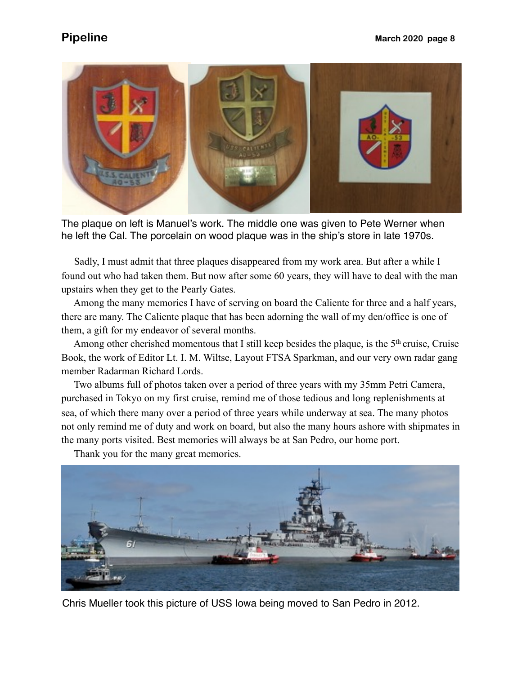

The plaque on left is Manuel's work. The middle one was given to Pete Werner when he left the Cal. The porcelain on wood plaque was in the ship's store in late 1970s.

 Sadly, I must admit that three plaques disappeared from my work area. But after a while I found out who had taken them. But now after some 60 years, they will have to deal with the man upstairs when they get to the Pearly Gates.

 Among the many memories I have of serving on board the Caliente for three and a half years, there are many. The Caliente plaque that has been adorning the wall of my den/office is one of them, a gift for my endeavor of several months.

Among other cherished momentous that I still keep besides the plaque, is the  $5<sup>th</sup>$  cruise, Cruise Book, the work of Editor Lt. I. M. Wiltse, Layout FTSA Sparkman, and our very own radar gang member Radarman Richard Lords.

 Two albums full of photos taken over a period of three years with my 35mm Petri Camera, purchased in Tokyo on my first cruise, remind me of those tedious and long replenishments at sea, of which there many over a period of three years while underway at sea. The many photos not only remind me of duty and work on board, but also the many hours ashore with shipmates in the many ports visited. Best memories will always be at San Pedro, our home port.

Thank you for the many great memories.



Chris Mueller took this picture of USS Iowa being moved to San Pedro in 2012.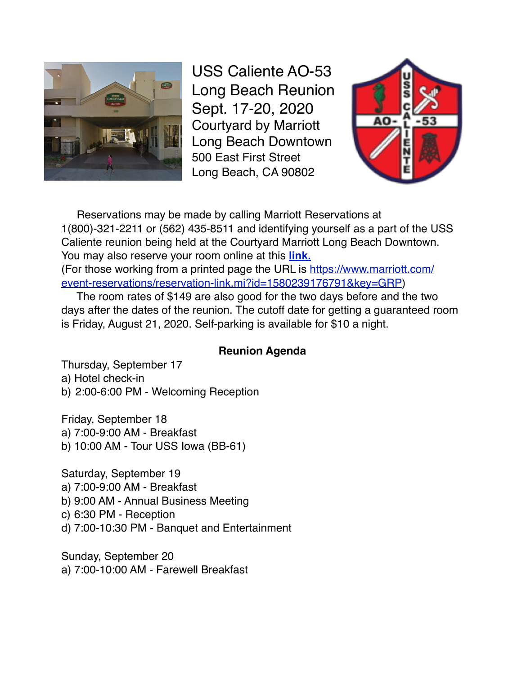

USS Caliente AO-53 Long Beach Reunion Sept. 17-20, 2020 Courtyard by Marriott Long Beach Downtown 500 East First Street Long Beach, CA 90802



 Reservations may be made by calling Marriott Reservations at 1(800)-321-2211 or (562) 435-8511 and identifying yourself as a part of the USS Caliente reunion being held at the Courtyard Marriott Long Beach Downtown. You may also reserve your room online at this **[link.](https://www.marriott.com/events/start.mi?id=1580239176791&key=GRP)** (For those working from a printed page the URL is [https://www.marriott.com/](https://www.marriott.com/event-reservations/reservation-link.mi?id=1580239176791&key=GRP) [event-reservations/reservation-link.mi?id=1580239176791&key=GRP\)](https://www.marriott.com/event-reservations/reservation-link.mi?id=1580239176791&key=GRP)

 The room rates of \$149 are also good for the two days before and the two days after the dates of the reunion. The cutoff date for getting a guaranteed room is Friday, August 21, 2020. Self-parking is available for \$10 a night.

### **Reunion Agenda**

Thursday, September 17 a) Hotel check-in b) 2:00-6:00 PM - Welcoming Reception

Friday, September 18 a) 7:00-9:00 AM - Breakfast b) 10:00 AM - Tour USS Iowa (BB-61)

Saturday, September 19 a) 7:00-9:00 AM - Breakfast b) 9:00 AM - Annual Business Meeting c) 6:30 PM - Reception d) 7:00-10:30 PM - Banquet and Entertainment

Sunday, September 20 a) 7:00-10:00 AM - Farewell Breakfast